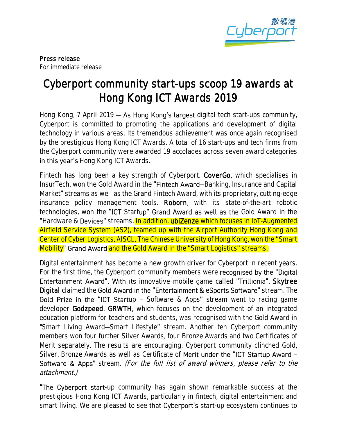

# Cyberport community start-ups scoop 19 awards at Hong Kong ICT Awards 2019

Hong Kong, 7 April 2019  $-$  As Hong Kong's largest digital tech start-ups community, Cyberport is committed to promoting the applications and development of digital technology in various areas. Its tremendous achievement was once again recognised by the prestigious Hong Kong ICT Awards. A total of 16 start-ups and tech firms from the Cyberport community were awarded 19 accolades across seven award categories in this year's Hong Kong ICT Awards.

Fintech has long been a key strength of Cyberport. CoverGo, which specialises in InsurTech, won the Gold Award in the "Fintech Award—Banking, Insurance and Capital Market" streams as well as the Grand Fintech Award, with its proprietary, cutting-edge insurance policy management tools. Roborn, with its state-of-the-art robotic technologies, won the "ICT Startup" Grand Award as well as the Gold Award in the "Hardware & Devices" streams. In addition, ubiZenze which focuses in IoT-Augmented Airfield Service System (AS2), teamed up with the Airport Authority Hong Kong and Center of Cyber Logistics, AISCL, The Chinese University of Hong Kong, won the "Smart" Mobility" Grand Award and the Gold Award in the "Smart Logistics" streams.

Digital entertainment has become a new growth driver for Cyberport in recent years. For the first time, the Cyberport community members were recognised by the "Digital" Entertainment Award". With its innovative mobile game called "Trillionia", Skytree Digital claimed the Gold Award in the "Entertainment & eSports Software" stream. The Gold Prize in the "ICT Startup - Software & Apps" stream went to racing game developer Godzpeed. GRWTH, which focuses on the development of an integrated education platform for teachers and students, was recognised with the Gold Award in "Smart Living Award-Smart Lifestyle" stream. Another ten Cyberport community members won four further Silver Awards, four Bronze Awards and two Certificates of Merit separately. The results are encouraging. Cyberport community clinched Gold, Silver, Bronze Awards as well as Certificate of Merit under the "ICT Startup Award -Software & Apps" stream. (For the full list of award winners, please refer to the attachment.)

**The Cyberport start-up** community has again shown remarkable success at the prestigious Hong Kong ICT Awards, particularly in fintech, digital entertainment and smart living. We are pleased to see that Cyberport's start-up ecosystem continues to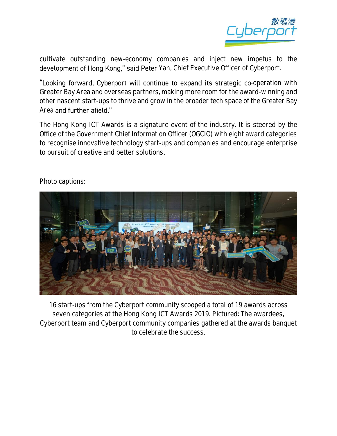

cultivate outstanding new-economy companies and inject new impetus to the development of Hong Kong," said Peter Yan, Chief Executive Officer of Cyberport.

"Looking forward, Cyberport will continue to expand its strategic co-operation with Greater Bay Area and overseas partners, making more room for the award-winning and other nascent start-ups to thrive and grow in the broader tech space of the Greater Bay Area and further afield."

The Hong Kong ICT Awards is a signature event of the industry. It is steered by the Office of the Government Chief Information Officer (OGCIO) with eight award categories to recognise innovative technology start-ups and companies and encourage enterprise to pursuit of creative and better solutions.

## Photo captions:



16 start-ups from the Cyberport community scooped a total of 19 awards across seven categories at the Hong Kong ICT Awards 2019. Pictured: The awardees, Cyberport team and Cyberport community companies gathered at the awards banquet to celebrate the success.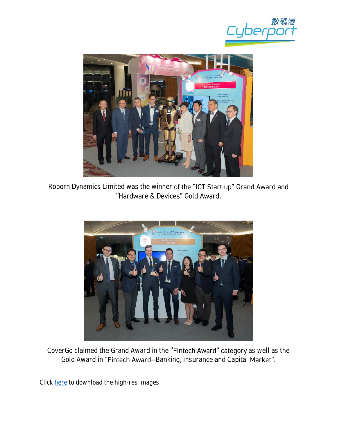



Roborn Dynamics Limited was the winner of the "ICT Start-up" Grand Award and<br>"Hardware & Devices" Gold Award.



CoverGo claimed the Grand Award in the "Fintech Award" category as well as the Gold Award in "Fintech Award-Banking, Insurance and Capital Market".

Click [here](https://drive.google.com/open?id=1nfS3jsVDlCtSnL9yPIwyshSjy2Hni_zl) to download the high-res images.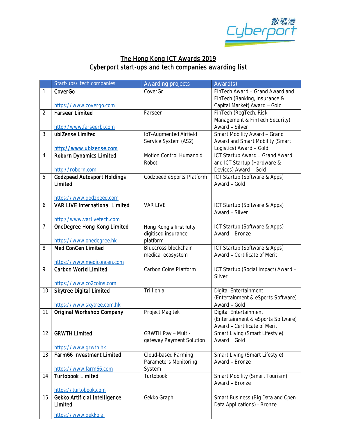

# The Hong Kong ICT Awards 2019 Cyberport start-ups and tech companies awarding list

|                | Start-ups/ tech companies                         | Awarding projects         | Award(s)                            |
|----------------|---------------------------------------------------|---------------------------|-------------------------------------|
| 1              | CoverGo                                           | CoverGo                   | FinTech Award - Grand Award and     |
|                |                                                   |                           | FinTech (Banking, Insurance &       |
|                | https://www.covergo.com                           |                           | Capital Market) Award - Gold        |
| $\overline{2}$ | <b>Farseer Limited</b>                            | Farseer                   | FinTech (RegTech, Risk              |
|                |                                                   |                           | Management & FinTech Security)      |
|                | http://www.farseerbi.com                          |                           | Award - Silver                      |
| 3              | ubiZense Limited                                  | IoT-Augmented Airfield    | Smart Mobility Award - Grand        |
|                |                                                   | Service System (AS2)      | Award and Smart Mobility (Smart     |
|                | http://www.ubizense.com                           |                           | Logistics) Award - Gold             |
| 4              | Roborn Dynamics Limited                           | Motion Control Humanoid   | ICT Startup Award - Grand Award     |
|                |                                                   | Robot                     | and ICT Startup (Hardware &         |
|                | http://roborn.com                                 |                           | Devices) Award - Gold               |
| 5              | <b>Godzpeed Autosport Holdings</b>                | Godzpeed eSports Platform | ICT Startup (Software & Apps)       |
|                | Limited                                           |                           | Award - Gold                        |
|                | https://www.godzpeed.com                          |                           |                                     |
| 6              | <b>VAR LIVE International Limited</b>             | VAR LIVE                  | ICT Startup (Software & Apps)       |
|                |                                                   |                           | Award - Silver                      |
|                | http://www.varlivetech.com                        |                           |                                     |
| $\overline{7}$ | OneDegree Hong Kong Limited                       | Hong Kong's first fully   | ICT Startup (Software & Apps)       |
|                |                                                   | digitised insurance       | Award - Bronze                      |
|                | https://www.onedegree.hk                          | platform                  |                                     |
| 8              | MediConCen Limited                                | Bluecross blockchain      | ICT Startup (Software & Apps)       |
|                |                                                   | medical ecosystem         | Award - Certificate of Merit        |
|                | https://www.mediconcen.com                        |                           |                                     |
| 9              | Carbon World Limited                              | Carbon Coins Platform     | ICT Startup (Social Impact) Award - |
|                |                                                   |                           | Silver                              |
|                | https://www.co2coins.com                          |                           |                                     |
| 10             | Skytree Digital Limited                           | Trillionia                | Digital Entertainment               |
|                |                                                   |                           | (Entertainment & eSports Software)  |
|                | https://www.skytree.com.hk                        |                           | Award - Gold                        |
| 11             | Original Workshop Company                         | Project Magitek           | Digital Entertainment               |
|                |                                                   |                           | (Entertainment & eSports Software)  |
|                |                                                   |                           | Award - Certificate of Merit        |
| 12             | <b>GRWTH Limited</b>                              | GRWTH Pay - Multi-        | Smart Living (Smart Lifestyle)      |
|                |                                                   | gateway Payment Solution  | Award - Gold                        |
| 13             | https://www.grwth.hk<br>Farm66 Investment Limited | Cloud-based Farming       | Smart Living (Smart Lifestyle)      |
|                |                                                   | Parameters Monitoring     | Award - Bronze                      |
|                | https://www.farm66.com                            | System                    |                                     |
| 14             | <b>Turtobook Limited</b>                          | Turtobook                 | Smart Mobility (Smart Tourism)      |
|                |                                                   |                           | Award - Bronze                      |
|                | https://turtobook.com                             |                           |                                     |
| 15             | Gekko Artificial Intelligence                     | Gekko Graph               | Smart Business (Big Data and Open   |
|                | Limited                                           |                           | Data Applications) - Bronze         |
|                |                                                   |                           |                                     |
|                | https://www.gekko.ai                              |                           |                                     |